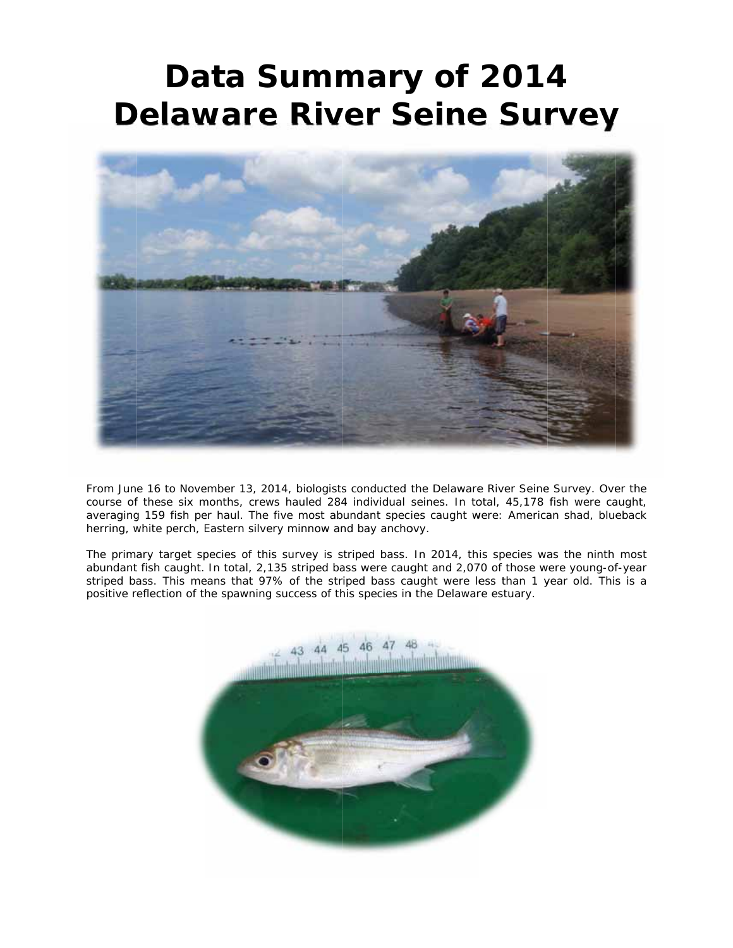## **Delaware River Seine Survey**<br>
Delaware River Seine Survey Data Summary of 2014



From June 16 to November 13, 2014, biologists conducted the Delaware River Seine Survey. Over the course of these six months, crews hauled 284 individual seines. In total, 45,178 fish were caught, averaging 159 fish per haul. The five most abundant species caught were: American shad, blueback herring, white perch, Eastern silvery minnow and bay anchovy.

The primary target species of this survey is striped bass. In 2014, this species was the ninth most abundant fish caught. In total, 2,135 striped bass were caught and 2,070 of those were young-of-year striped bass. This means that 97% of the striped bass caught were less than 1 year old. This is a positive reflection of the spawning success of this species in the Delaware estuary.

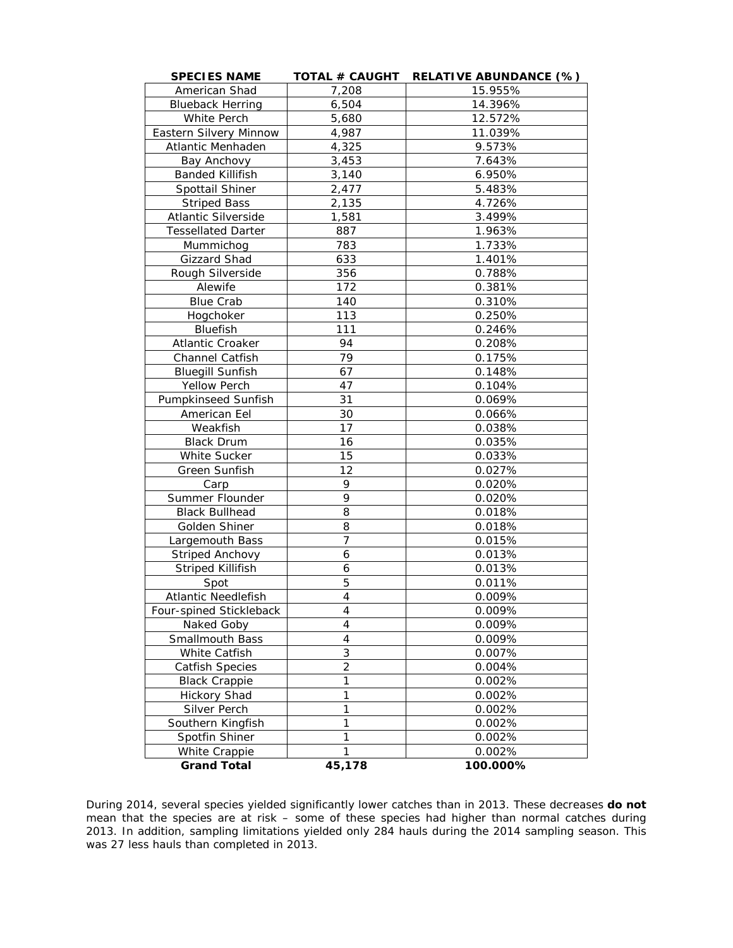| <b>SPECIES NAME</b>        | <b>TOTAL # CAUGHT</b> | <b>RELATIVE ABUNDANCE (%)</b> |  |  |
|----------------------------|-----------------------|-------------------------------|--|--|
| American Shad              | 7,208                 | 15.955%                       |  |  |
| <b>Blueback Herring</b>    | 6,504                 | 14.396%                       |  |  |
| White Perch                | 5,680                 | 12.572%                       |  |  |
| Eastern Silvery Minnow     | 4,987                 | 11.039%                       |  |  |
| Atlantic Menhaden          | 4,325                 | 9.573%                        |  |  |
| Bay Anchovy                | 3,453                 | 7.643%                        |  |  |
| <b>Banded Killifish</b>    | 3,140                 | 6.950%                        |  |  |
| Spottail Shiner            | 2,477                 | 5.483%                        |  |  |
| <b>Striped Bass</b>        | 2,135                 | 4.726%                        |  |  |
| Atlantic Silverside        | 1,581                 | 3.499%                        |  |  |
| <b>Tessellated Darter</b>  | 887                   | 1.963%                        |  |  |
| Mummichog                  | 783                   | 1.733%                        |  |  |
| Gizzard Shad               | 633                   | 1.401%                        |  |  |
| Rough Silverside           | 356                   | 0.788%                        |  |  |
| Alewife                    | 172                   | 0.381%                        |  |  |
| <b>Blue Crab</b>           | 140                   | 0.310%                        |  |  |
| Hogchoker                  | 113                   | 0.250%                        |  |  |
| Bluefish                   | 111                   | 0.246%                        |  |  |
| Atlantic Croaker           | 94                    | 0.208%                        |  |  |
| Channel Catfish            | 79                    | 0.175%                        |  |  |
| <b>Bluegill Sunfish</b>    | 67                    | 0.148%                        |  |  |
| <b>Yellow Perch</b>        | 47                    | 0.104%                        |  |  |
| <b>Pumpkinseed Sunfish</b> | 31                    | 0.069%                        |  |  |
| American Eel               | 30                    | 0.066%                        |  |  |
| Weakfish                   | 17                    | 0.038%                        |  |  |
| <b>Black Drum</b>          | 16                    | 0.035%                        |  |  |
| White Sucker               | 15                    | 0.033%                        |  |  |
| Green Sunfish              | 12                    | 0.027%                        |  |  |
| Carp                       | 9                     | 0.020%                        |  |  |
| Summer Flounder            | 9                     | 0.020%                        |  |  |
| <b>Black Bullhead</b>      | 8                     | 0.018%                        |  |  |
| Golden Shiner              | 8                     | 0.018%                        |  |  |
| Largemouth Bass            | 7                     | 0.015%                        |  |  |
| Striped Anchovy            | 6                     | 0.013%                        |  |  |
| <b>Striped Killifish</b>   | 6                     | 0.013%                        |  |  |
| Spot                       | 5                     | 0.011%                        |  |  |
| Atlantic Needlefish        | 4                     | 0.009%                        |  |  |
| Four-spined Stickleback    | 4                     | 0.009%                        |  |  |
| Naked Goby                 | 4                     | 0.009%                        |  |  |
| Smallmouth Bass            | 4                     | 0.009%                        |  |  |
| White Catfish              | 3                     | 0.007%                        |  |  |
| <b>Catfish Species</b>     | $\overline{2}$        | 0.004%                        |  |  |
| <b>Black Crappie</b>       | 1                     | 0.002%                        |  |  |
| <b>Hickory Shad</b>        | 1                     | 0.002%                        |  |  |
| Silver Perch               | 1                     | 0.002%                        |  |  |
| Southern Kingfish          | 1                     | 0.002%                        |  |  |
| Spotfin Shiner             | $\mathbf{1}$          | 0.002%                        |  |  |
| White Crappie              | 1                     | 0.002%                        |  |  |
| <b>Grand Total</b>         | 45,178                | 100.000%                      |  |  |

During 2014, several species yielded significantly lower catches than in 2013. These decreases **do not** mean that the species are at risk – some of these species had higher than normal catches during 2013. In addition, sampling limitations yielded only 284 hauls during the 2014 sampling season. This was 27 less hauls than completed in 2013.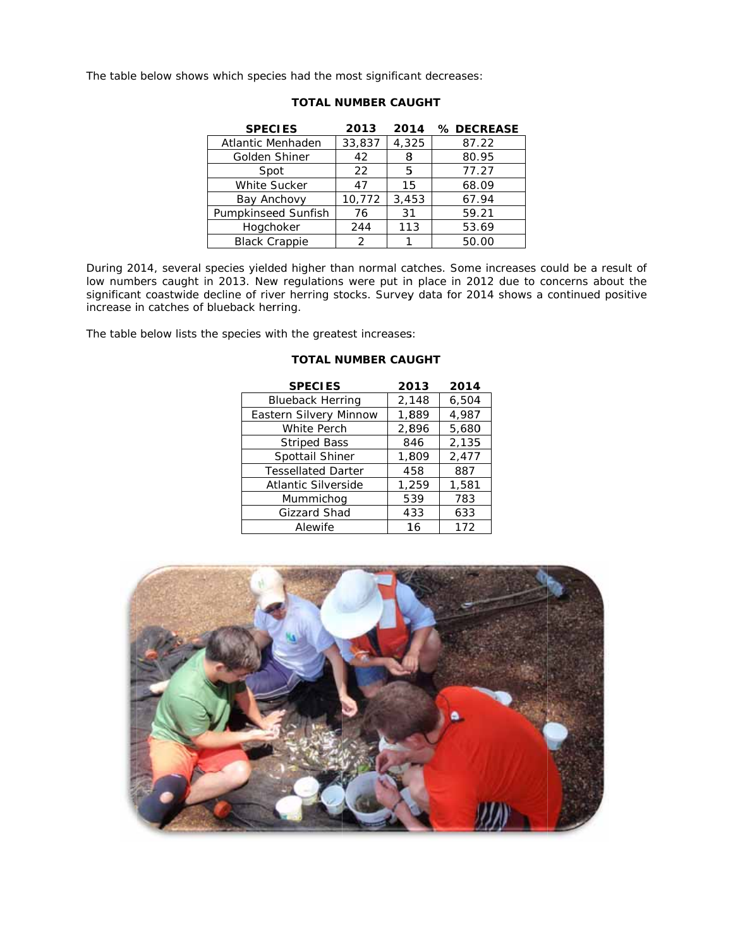The table below shows which species had the most significant decreases:

| <b>SPECIES</b>       | 2013   | 2014  | % DECREASE |
|----------------------|--------|-------|------------|
| Atlantic Menhaden    | 33,837 | 4,325 | 87.22      |
| Golden Shiner        | 42     | 8     | 80.95      |
| Spot                 | 22     | 5     | 77.27      |
| White Sucker         | 47     | 15    | 68.09      |
| Bay Anchovy          | 10,772 | 3,453 | 67.94      |
| Pumpkinseed Sunfish  | 76     | 31    | 59.21      |
| Hogchoker            | 244    | 113   | 53.69      |
| <b>Black Crappie</b> | 2      |       | 50.00      |

## **TOTAL NUMBER CAUGHT**

During 2014, several species yielded higher than normal catches. Some increases could be a result of low numbers caught in 2013. New regulations were put in place in 2012 due to concerns about the significant coastwide dec increase in catches of blueback herring.

The table below lists the species with the greatest increases:

| <b>SPECIES</b>            | 2013  | 2014  |
|---------------------------|-------|-------|
| <b>Blueback Herring</b>   | 2,148 | 6,504 |
| Eastern Silvery Minnow    | 1,889 | 4,987 |
| White Perch               | 2,896 | 5,680 |
| <b>Striped Bass</b>       | 846   | 2,135 |
| Spottail Shiner           | 1,809 | 2,477 |
| <b>Tessellated Darter</b> | 458   | 887   |
| Atlantic Silverside       | 1,259 | 1,581 |
| Mummichog                 | 539   | 783   |
| Gizzard Shad              | 433   | 633   |
| Alewife                   | 16    | 172   |

## **TOTAL NUMBER CAUGHT**